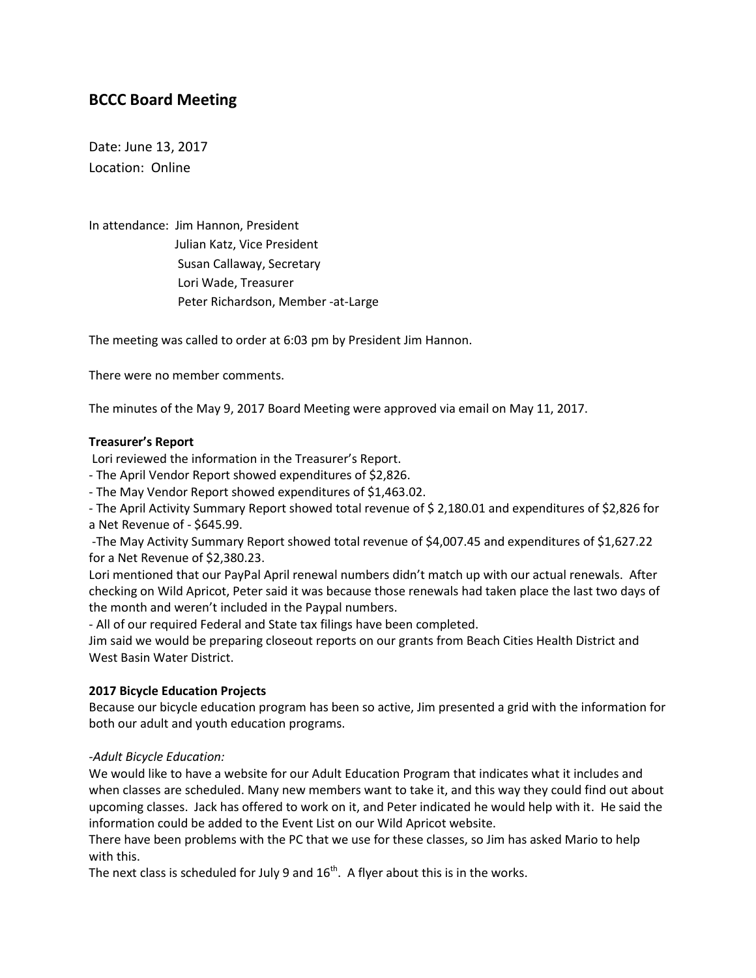# **BCCC Board Meeting**

Date: June 13, 2017 Location: Online

In attendance: Jim Hannon, President Julian Katz, Vice President Susan Callaway, Secretary Lori Wade, Treasurer Peter Richardson, Member -at-Large

The meeting was called to order at 6:03 pm by President Jim Hannon.

There were no member comments.

The minutes of the May 9, 2017 Board Meeting were approved via email on May 11, 2017.

# **Treasurer's Report**

Lori reviewed the information in the Treasurer's Report.

- The April Vendor Report showed expenditures of \$2,826.

- The May Vendor Report showed expenditures of \$1,463.02.

- The April Activity Summary Report showed total revenue of \$ 2,180.01 and expenditures of \$2,826 for a Net Revenue of - \$645.99.

-The May Activity Summary Report showed total revenue of \$4,007.45 and expenditures of \$1,627.22 for a Net Revenue of \$2,380.23.

Lori mentioned that our PayPal April renewal numbers didn't match up with our actual renewals. After checking on Wild Apricot, Peter said it was because those renewals had taken place the last two days of the month and weren't included in the Paypal numbers.

- All of our required Federal and State tax filings have been completed.

Jim said we would be preparing closeout reports on our grants from Beach Cities Health District and West Basin Water District.

# **2017 Bicycle Education Projects**

Because our bicycle education program has been so active, Jim presented a grid with the information for both our adult and youth education programs.

# *-Adult Bicycle Education:*

We would like to have a website for our Adult Education Program that indicates what it includes and when classes are scheduled. Many new members want to take it, and this way they could find out about upcoming classes. Jack has offered to work on it, and Peter indicated he would help with it. He said the information could be added to the Event List on our Wild Apricot website.

There have been problems with the PC that we use for these classes, so Jim has asked Mario to help with this.

The next class is scheduled for July 9 and  $16<sup>th</sup>$ . A flyer about this is in the works.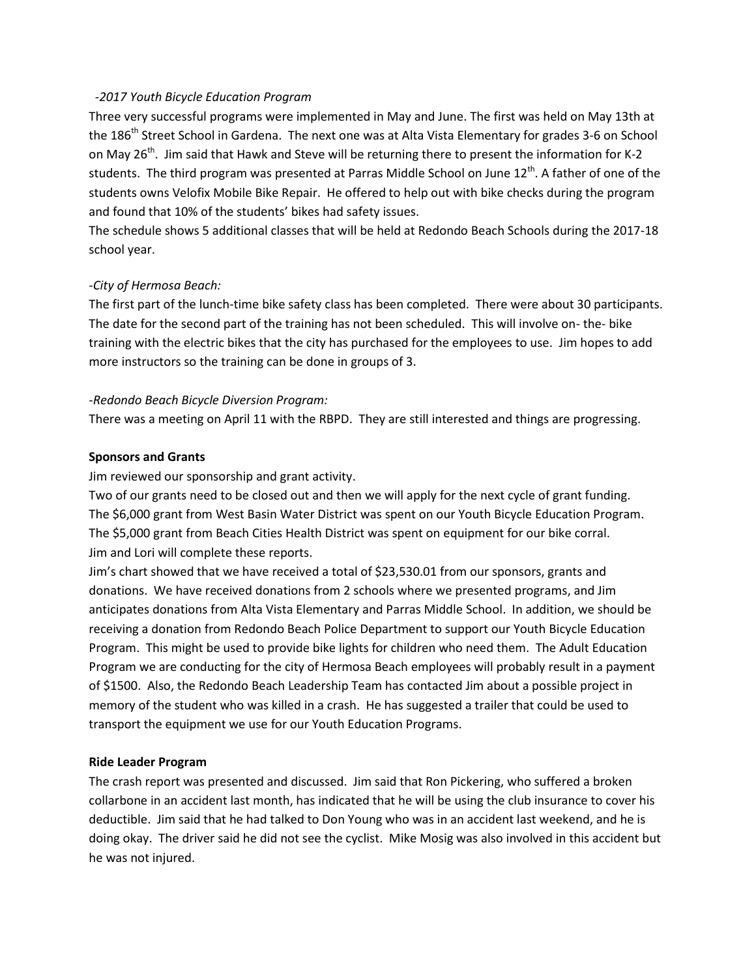#### *-2017 Youth Bicycle Education Program*

Three very successful programs were implemented in May and June. The first was held on May 13th at the 186<sup>th</sup> Street School in Gardena. The next one was at Alta Vista Elementary for grades 3-6 on School on May 26<sup>th</sup>. Jim said that Hawk and Steve will be returning there to present the information for K-2 students. The third program was presented at Parras Middle School on June 12<sup>th</sup>. A father of one of the students owns Velofix Mobile Bike Repair. He offered to help out with bike checks during the program and found that 10% of the students' bikes had safety issues.

The schedule shows 5 additional classes that will be held at Redondo Beach Schools during the 2017-18 school year.

#### *-City of Hermosa Beach:*

The first part of the lunch-time bike safety class has been completed. There were about 30 participants. The date for the second part of the training has not been scheduled. This will involve on- the- bike training with the electric bikes that the city has purchased for the employees to use. Jim hopes to add more instructors so the training can be done in groups of 3.

#### *-Redondo Beach Bicycle Diversion Program:*

There was a meeting on April 11 with the RBPD. They are still interested and things are progressing.

#### **Sponsors and Grants**

Jim reviewed our sponsorship and grant activity.

Two of our grants need to be closed out and then we will apply for the next cycle of grant funding. The \$6,000 grant from West Basin Water District was spent on our Youth Bicycle Education Program. The \$5,000 grant from Beach Cities Health District was spent on equipment for our bike corral. Jim and Lori will complete these reports.

Jim's chart showed that we have received a total of \$23,530.01 from our sponsors, grants and donations. We have received donations from 2 schools where we presented programs, and Jim anticipates donations from Alta Vista Elementary and Parras Middle School. In addition, we should be receiving a donation from Redondo Beach Police Department to support our Youth Bicycle Education Program. This might be used to provide bike lights for children who need them. The Adult Education Program we are conducting for the city of Hermosa Beach employees will probably result in a payment of \$1500. Also, the Redondo Beach Leadership Team has contacted Jim about a possible project in memory of the student who was killed in a crash. He has suggested a trailer that could be used to transport the equipment we use for our Youth Education Programs.

#### **Ride Leader Program**

The crash report was presented and discussed. Jim said that Ron Pickering, who suffered a broken collarbone in an accident last month, has indicated that he will be using the club insurance to cover his deductible. Jim said that he had talked to Don Young who was in an accident last weekend, and he is doing okay. The driver said he did not see the cyclist. Mike Mosig was also involved in this accident but he was not injured.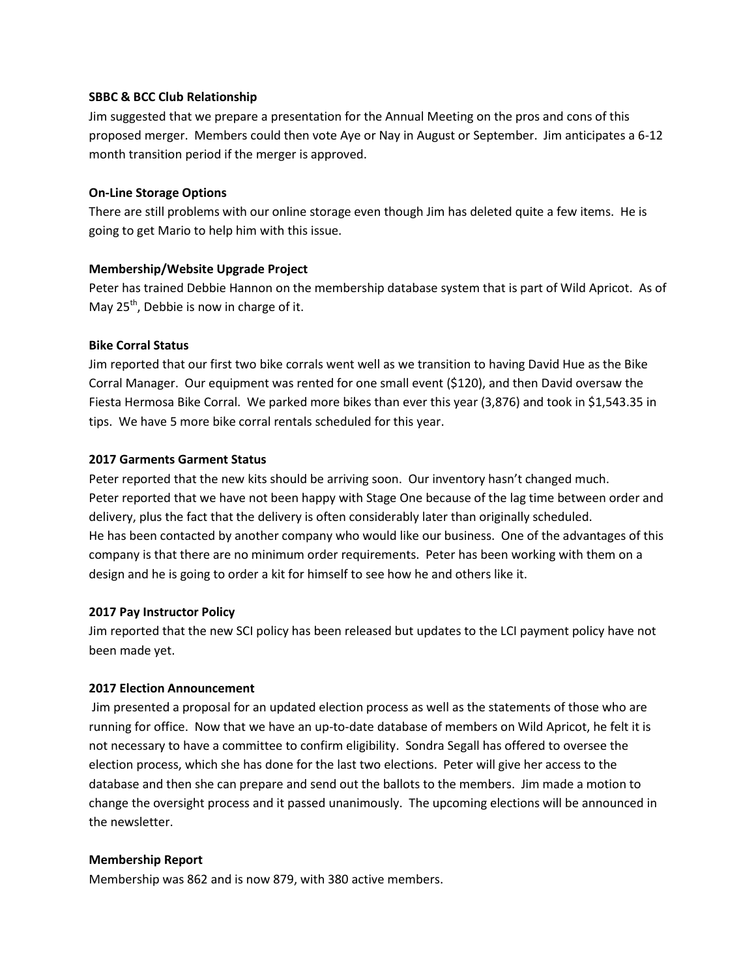#### **SBBC & BCC Club Relationship**

Jim suggested that we prepare a presentation for the Annual Meeting on the pros and cons of this proposed merger. Members could then vote Aye or Nay in August or September. Jim anticipates a 6-12 month transition period if the merger is approved.

#### **On-Line Storage Options**

There are still problems with our online storage even though Jim has deleted quite a few items. He is going to get Mario to help him with this issue.

# **Membership/Website Upgrade Project**

Peter has trained Debbie Hannon on the membership database system that is part of Wild Apricot. As of May  $25<sup>th</sup>$ , Debbie is now in charge of it.

#### **Bike Corral Status**

Jim reported that our first two bike corrals went well as we transition to having David Hue as the Bike Corral Manager. Our equipment was rented for one small event (\$120), and then David oversaw the Fiesta Hermosa Bike Corral. We parked more bikes than ever this year (3,876) and took in \$1,543.35 in tips. We have 5 more bike corral rentals scheduled for this year.

#### **2017 Garments Garment Status**

Peter reported that the new kits should be arriving soon. Our inventory hasn't changed much. Peter reported that we have not been happy with Stage One because of the lag time between order and delivery, plus the fact that the delivery is often considerably later than originally scheduled. He has been contacted by another company who would like our business. One of the advantages of this company is that there are no minimum order requirements. Peter has been working with them on a design and he is going to order a kit for himself to see how he and others like it.

#### **2017 Pay Instructor Policy**

Jim reported that the new SCI policy has been released but updates to the LCI payment policy have not been made yet.

#### **2017 Election Announcement**

Jim presented a proposal for an updated election process as well as the statements of those who are running for office. Now that we have an up-to-date database of members on Wild Apricot, he felt it is not necessary to have a committee to confirm eligibility. Sondra Segall has offered to oversee the election process, which she has done for the last two elections. Peter will give her access to the database and then she can prepare and send out the ballots to the members. Jim made a motion to change the oversight process and it passed unanimously. The upcoming elections will be announced in the newsletter.

#### **Membership Report**

Membership was 862 and is now 879, with 380 active members.